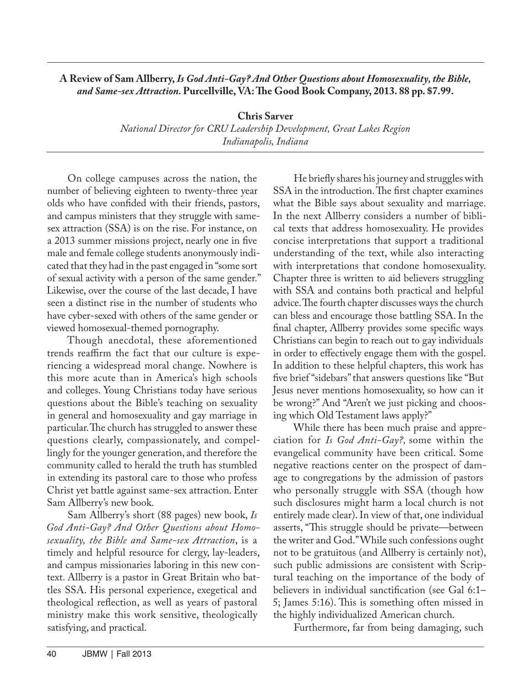## **A Review of Sam Allberry,** *Is God Anti-Gay? And Other Questions about Homosexuality, the Bible, and Same-sex Attraction.* **Purcellville, VA: The Good Book Company, 2013. 88 pp. \$7.99.**

**Chris Sarver**

*National Director for CRU Leadership Development, Great Lakes Region Indianapolis, Indiana*

On college campuses across the nation, the number of believing eighteen to twenty-three year olds who have confided with their friends, pastors, and campus ministers that they struggle with samesex attraction (SSA) is on the rise. For instance, on a 2013 summer missions project, nearly one in five male and female college students anonymously indicated that they had in the past engaged in "some sort of sexual activity with a person of the same gender." Likewise, over the course of the last decade, I have seen a distinct rise in the number of students who have cyber-sexed with others of the same gender or viewed homosexual-themed pornography.

Though anecdotal, these aforementioned trends reaffirm the fact that our culture is experiencing a widespread moral change. Nowhere is this more acute than in America's high schools and colleges. Young Christians today have serious questions about the Bible's teaching on sexuality in general and homosexuality and gay marriage in particular. The church has struggled to answer these questions clearly, compassionately, and compellingly for the younger generation, and therefore the community called to herald the truth has stumbled in extending its pastoral care to those who profess Christ yet battle against same-sex attraction. Enter Sam Allberry's new book.

Sam Allberry's short (88 pages) new book, *Is God Anti-Gay? And Other Questions about Homosexuality, the Bible and Same-sex Attraction*, is a timely and helpful resource for clergy, lay-leaders, and campus missionaries laboring in this new context. Allberry is a pastor in Great Britain who battles SSA. His personal experience, exegetical and theological reflection, as well as years of pastoral ministry make this work sensitive, theologically satisfying, and practical.

He briefly shares his journey and struggles with SSA in the introduction. The first chapter examines what the Bible says about sexuality and marriage. In the next Allberry considers a number of biblical texts that address homosexuality. He provides concise interpretations that support a traditional understanding of the text, while also interacting with interpretations that condone homosexuality. Chapter three is written to aid believers struggling with SSA and contains both practical and helpful advice. The fourth chapter discusses ways the church can bless and encourage those battling SSA. In the final chapter, Allberry provides some specific ways Christians can begin to reach out to gay individuals in order to effectively engage them with the gospel. In addition to these helpful chapters, this work has five brief "sidebars" that answers questions like "But Jesus never mentions homosexuality, so how can it be wrong?" And "Aren't we just picking and choosing which Old Testament laws apply?"

While there has been much praise and appreciation for *Is God Anti-Gay?,* some within the evangelical community have been critical. Some negative reactions center on the prospect of damage to congregations by the admission of pastors who personally struggle with SSA (though how such disclosures might harm a local church is not entirely made clear). In view of that, one individual asserts, "This struggle should be private—between the writer and God." While such confessions ought not to be gratuitous (and Allberry is certainly not), such public admissions are consistent with Scriptural teaching on the importance of the body of believers in individual sanctification (see Gal 6:1– 5; James 5:16). This is something often missed in the highly individualized American church.

Furthermore, far from being damaging, such